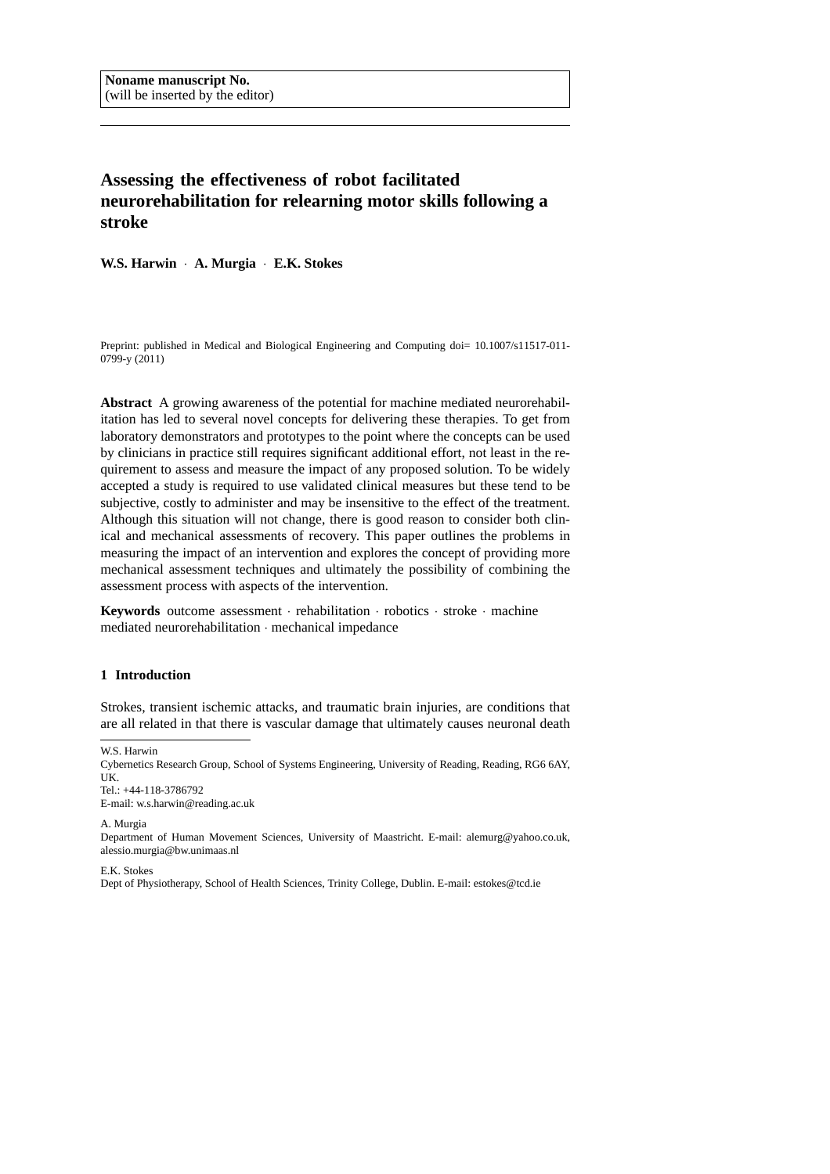# **Assessing the effectiveness of robot facilitated neurorehabilitation for relearning motor skills following a stroke**

**W.S. Harwin** · **A. Murgia** · **E.K. Stokes**

Preprint: published in Medical and Biological Engineering and Computing doi=  $10.1007 \times 11517 - 011$ -0799-y (2011)

**Abstract** A growing awareness of the potential for machine mediated neurorehabilitation has led to several novel concepts for delivering these therapies. To get from laboratory demonstrators and prototypes to the point where the concepts can be used by clinicians in practice still requires significant additional effort, not least in the requirement to assess and measure the impact of any proposed solution. To be widely accepted a study is required to use validated clinical measures but these tend to be subjective, costly to administer and may be insensitive to the effect of the treatment. Although this situation will not change, there is good reason to consider both clinical and mechanical assessments of recovery. This paper outlines the problems in measuring the impact of an intervention and explores the concept of providing more mechanical assessment techniques and ultimately the possibility of combining the assessment process with aspects of the intervention.

**Keywords** outcome assessment · rehabilitation · robotics · stroke · machine mediated neurorehabilitation · mechanical impedance

### **1 Introduction**

Strokes, transient ischemic attacks, and traumatic brain injuries, are conditions that are all related in that there is vascular damage that ultimately causes neuronal death

W.S. Harwin

Cybernetics Research Group, School of Systems Engineering, University of Reading, Reading, RG6 6AY, UK.

Tel.: +44-118-3786792 E-mail: w.s.harwin@reading.ac.uk

A. Murgia Department of Human Movement Sciences, University of Maastricht. E-mail: alemurg@yahoo.co.uk, alessio.murgia@bw.unimaas.nl

E.K. Stokes

Dept of Physiotherapy, School of Health Sciences, Trinity College, Dublin. E-mail: estokes@tcd.ie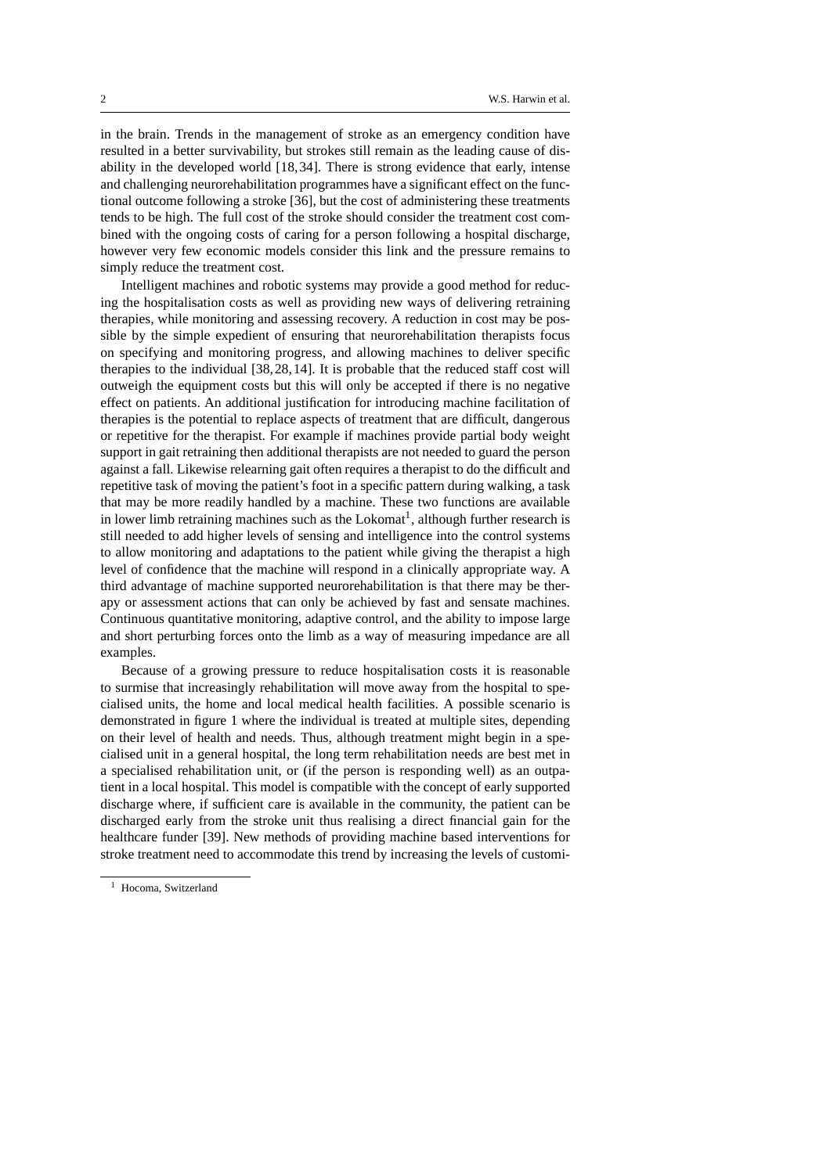in the brain. Trends in the management of stroke as an emergency condition have resulted in a better survivability, but strokes still remain as the leading cause of disability in the developed world [18,34]. There is strong evidence that early, intense and challenging neurorehabilitation programmes have a significant effect on the functional outcome following a stroke [36], but the cost of administering these treatments tends to be high. The full cost of the stroke should consider the treatment cost combined with the ongoing costs of caring for a person following a hospital discharge, however very few economic models consider this link and the pressure remains to simply reduce the treatment cost.

Intelligent machines and robotic systems may provide a good method for reducing the hospitalisation costs as well as providing new ways of delivering retraining therapies, while monitoring and assessing recovery. A reduction in cost may be possible by the simple expedient of ensuring that neurorehabilitation therapists focus on specifying and monitoring progress, and allowing machines to deliver specific therapies to the individual [38,28,14]. It is probable that the reduced staff cost will outweigh the equipment costs but this will only be accepted if there is no negative effect on patients. An additional justification for introducing machine facilitation of therapies is the potential to replace aspects of treatment that are difficult, dangerous or repetitive for the therapist. For example if machines provide partial body weight support in gait retraining then additional therapists are not needed to guard the person against a fall. Likewise relearning gait often requires a therapist to do the difficult and repetitive task of moving the patient's foot in a specific pattern during walking, a task that may be more readily handled by a machine. These two functions are available in lower limb retraining machines such as the Lokomat<sup>1</sup>, although further research is still needed to add higher levels of sensing and intelligence into the control systems to allow monitoring and adaptations to the patient while giving the therapist a high level of confidence that the machine will respond in a clinically appropriate way. A third advantage of machine supported neurorehabilitation is that there may be therapy or assessment actions that can only be achieved by fast and sensate machines. Continuous quantitative monitoring, adaptive control, and the ability to impose large and short perturbing forces onto the limb as a way of measuring impedance are all examples.

Because of a growing pressure to reduce hospitalisation costs it is reasonable to surmise that increasingly rehabilitation will move away from the hospital to specialised units, the home and local medical health facilities. A possible scenario is demonstrated in figure 1 where the individual is treated at multiple sites, depending on their level of health and needs. Thus, although treatment might begin in a specialised unit in a general hospital, the long term rehabilitation needs are best met in a specialised rehabilitation unit, or (if the person is responding well) as an outpatient in a local hospital. This model is compatible with the concept of early supported discharge where, if sufficient care is available in the community, the patient can be discharged early from the stroke unit thus realising a direct financial gain for the healthcare funder [39]. New methods of providing machine based interventions for stroke treatment need to accommodate this trend by increasing the levels of customi-

<sup>&</sup>lt;sup>1</sup> Hocoma, Switzerland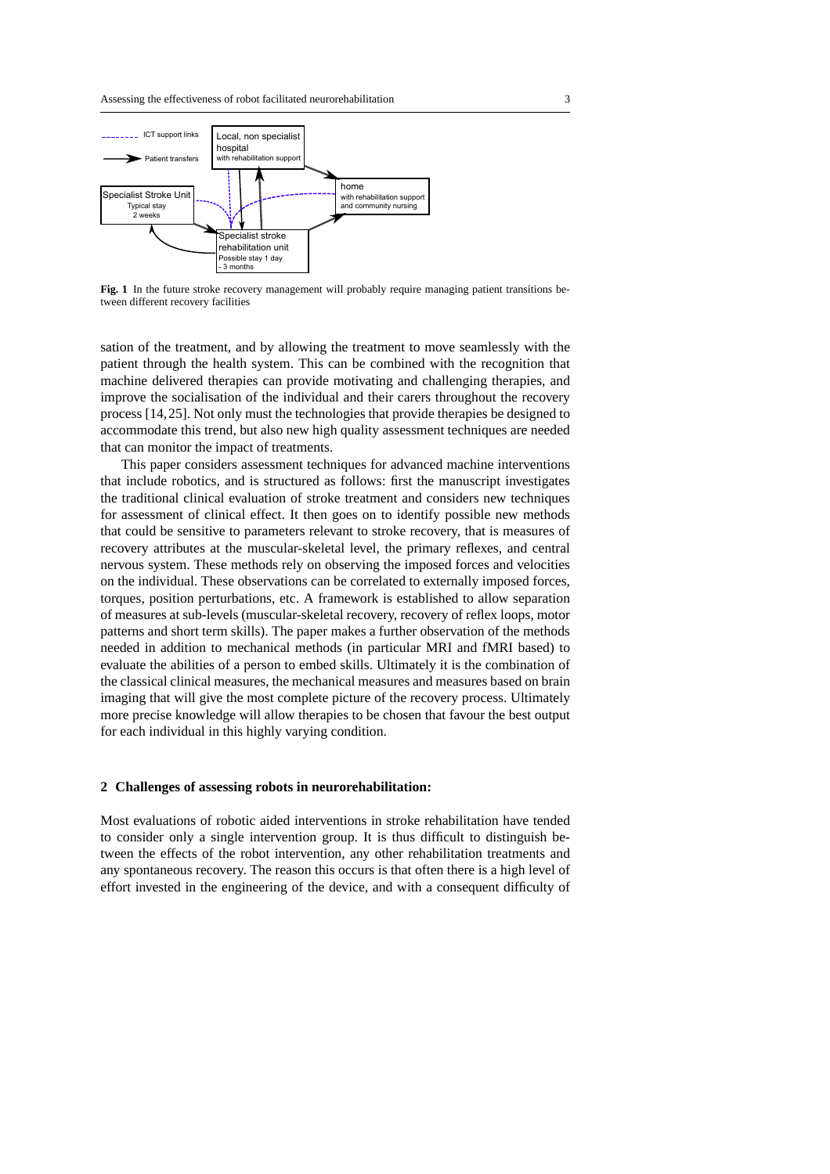

**Fig. 1** In the future stroke recovery management will probably require managing patient transitions between different recovery facilities

sation of the treatment, and by allowing the treatment to move seamlessly with the patient through the health system. This can be combined with the recognition that machine delivered therapies can provide motivating and challenging therapies, and improve the socialisation of the individual and their carers throughout the recovery process [14,25]. Not only must the technologies that provide therapies be designed to accommodate this trend, but also new high quality assessment techniques are needed that can monitor the impact of treatments.

This paper considers assessment techniques for advanced machine interventions that include robotics, and is structured as follows: first the manuscript investigates the traditional clinical evaluation of stroke treatment and considers new techniques for assessment of clinical effect. It then goes on to identify possible new methods that could be sensitive to parameters relevant to stroke recovery, that is measures of recovery attributes at the muscular-skeletal level, the primary reflexes, and central nervous system. These methods rely on observing the imposed forces and velocities on the individual. These observations can be correlated to externally imposed forces, torques, position perturbations, etc. A framework is established to allow separation of measures at sub-levels (muscular-skeletal recovery, recovery of reflex loops, motor patterns and short term skills). The paper makes a further observation of the methods needed in addition to mechanical methods (in particular MRI and fMRI based) to evaluate the abilities of a person to embed skills. Ultimately it is the combination of the classical clinical measures, the mechanical measures and measures based on brain imaging that will give the most complete picture of the recovery process. Ultimately more precise knowledge will allow therapies to be chosen that favour the best output for each individual in this highly varying condition.

#### **2 Challenges of assessing robots in neurorehabilitation:**

Most evaluations of robotic aided interventions in stroke rehabilitation have tended to consider only a single intervention group. It is thus difficult to distinguish between the effects of the robot intervention, any other rehabilitation treatments and any spontaneous recovery. The reason this occurs is that often there is a high level of effort invested in the engineering of the device, and with a consequent difficulty of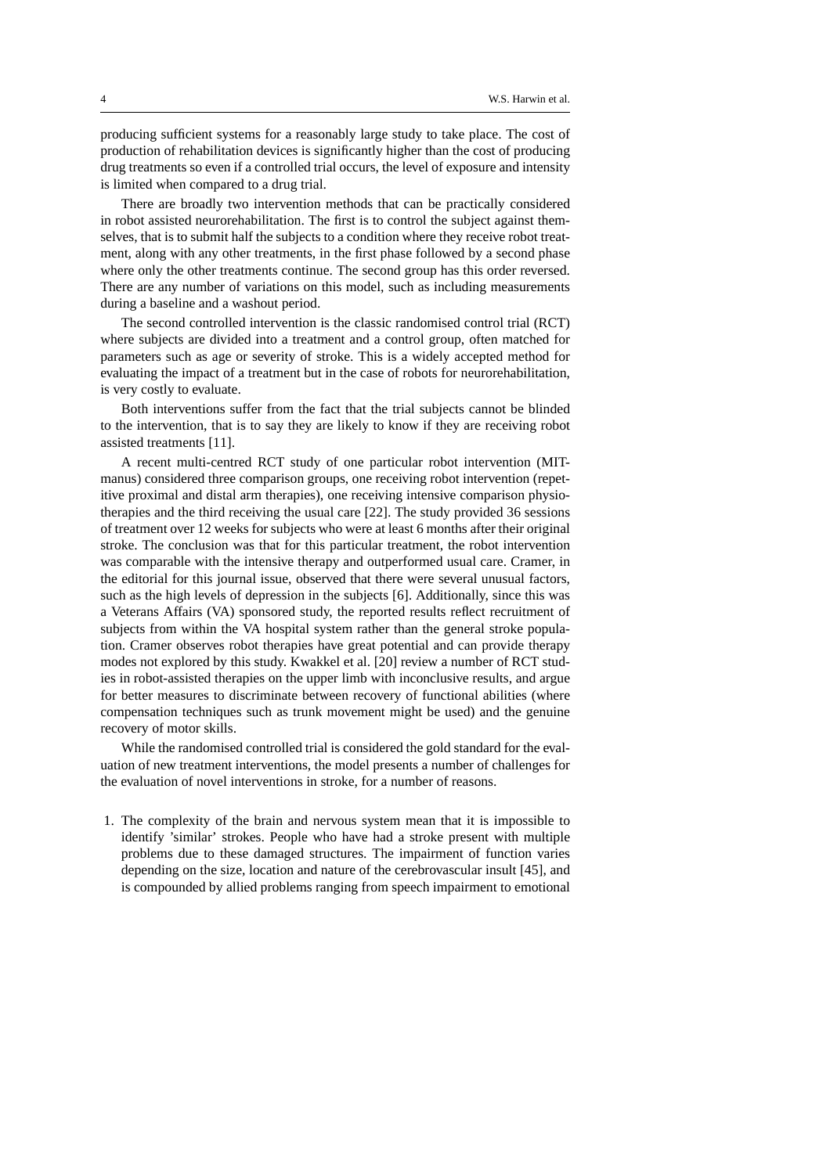producing sufficient systems for a reasonably large study to take place. The cost of production of rehabilitation devices is significantly higher than the cost of producing drug treatments so even if a controlled trial occurs, the level of exposure and intensity is limited when compared to a drug trial.

There are broadly two intervention methods that can be practically considered in robot assisted neurorehabilitation. The first is to control the subject against themselves, that is to submit half the subjects to a condition where they receive robot treatment, along with any other treatments, in the first phase followed by a second phase where only the other treatments continue. The second group has this order reversed. There are any number of variations on this model, such as including measurements during a baseline and a washout period.

The second controlled intervention is the classic randomised control trial (RCT) where subjects are divided into a treatment and a control group, often matched for parameters such as age or severity of stroke. This is a widely accepted method for evaluating the impact of a treatment but in the case of robots for neurorehabilitation, is very costly to evaluate.

Both interventions suffer from the fact that the trial subjects cannot be blinded to the intervention, that is to say they are likely to know if they are receiving robot assisted treatments [11].

A recent multi-centred RCT study of one particular robot intervention (MITmanus) considered three comparison groups, one receiving robot intervention (repetitive proximal and distal arm therapies), one receiving intensive comparison physiotherapies and the third receiving the usual care [22]. The study provided 36 sessions of treatment over 12 weeks for subjects who were at least 6 months after their original stroke. The conclusion was that for this particular treatment, the robot intervention was comparable with the intensive therapy and outperformed usual care. Cramer, in the editorial for this journal issue, observed that there were several unusual factors, such as the high levels of depression in the subjects [6]. Additionally, since this was a Veterans Affairs (VA) sponsored study, the reported results reflect recruitment of subjects from within the VA hospital system rather than the general stroke population. Cramer observes robot therapies have great potential and can provide therapy modes not explored by this study. Kwakkel et al. [20] review a number of RCT studies in robot-assisted therapies on the upper limb with inconclusive results, and argue for better measures to discriminate between recovery of functional abilities (where compensation techniques such as trunk movement might be used) and the genuine recovery of motor skills.

While the randomised controlled trial is considered the gold standard for the evaluation of new treatment interventions, the model presents a number of challenges for the evaluation of novel interventions in stroke, for a number of reasons.

1. The complexity of the brain and nervous system mean that it is impossible to identify 'similar' strokes. People who have had a stroke present with multiple problems due to these damaged structures. The impairment of function varies depending on the size, location and nature of the cerebrovascular insult [45], and is compounded by allied problems ranging from speech impairment to emotional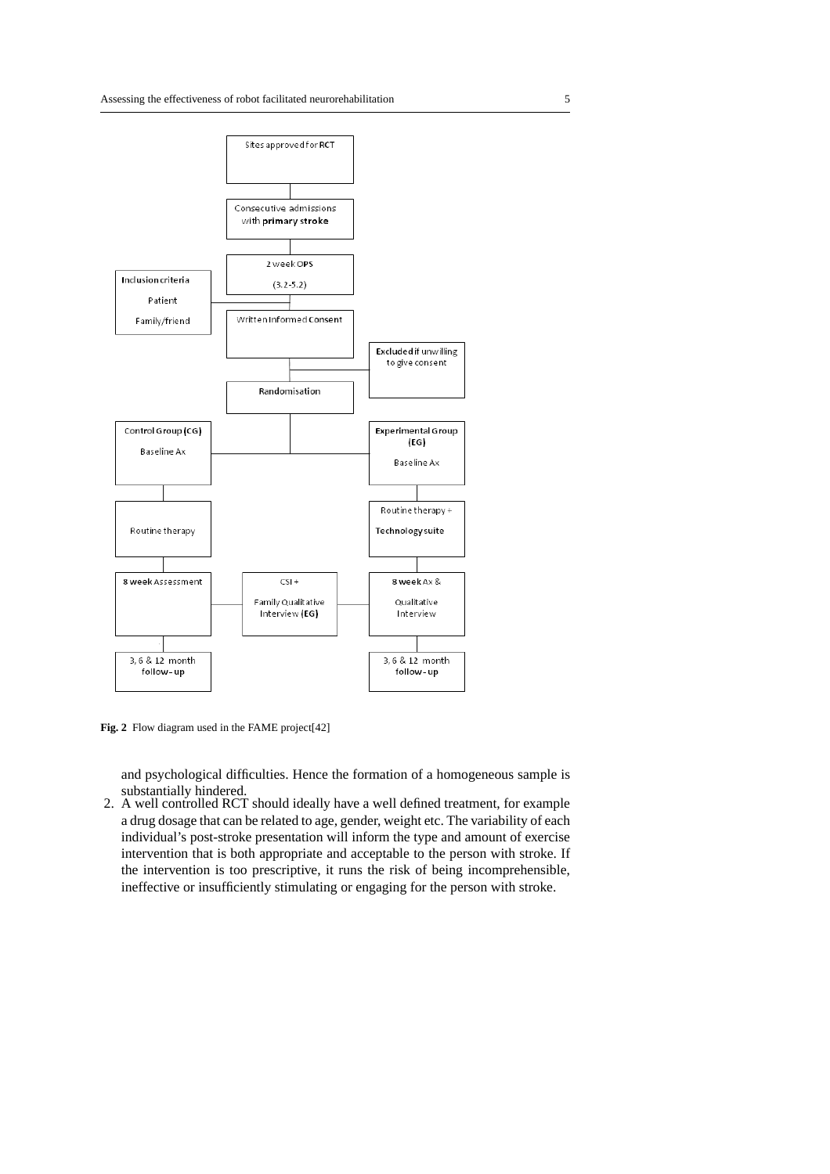

Fig. 2 Flow diagram used in the FAME project<sup>[42]</sup>

and psychological difficulties. Hence the formation of a homogeneous sample is substantially hindered.

2. A well controlled RCT should ideally have a well defined treatment, for example a drug dosage that can be related to age, gender, weight etc. The variability of each individual's post-stroke presentation will inform the type and amount of exercise intervention that is both appropriate and acceptable to the person with stroke. If the intervention is too prescriptive, it runs the risk of being incomprehensible, ineffective or insufficiently stimulating or engaging for the person with stroke.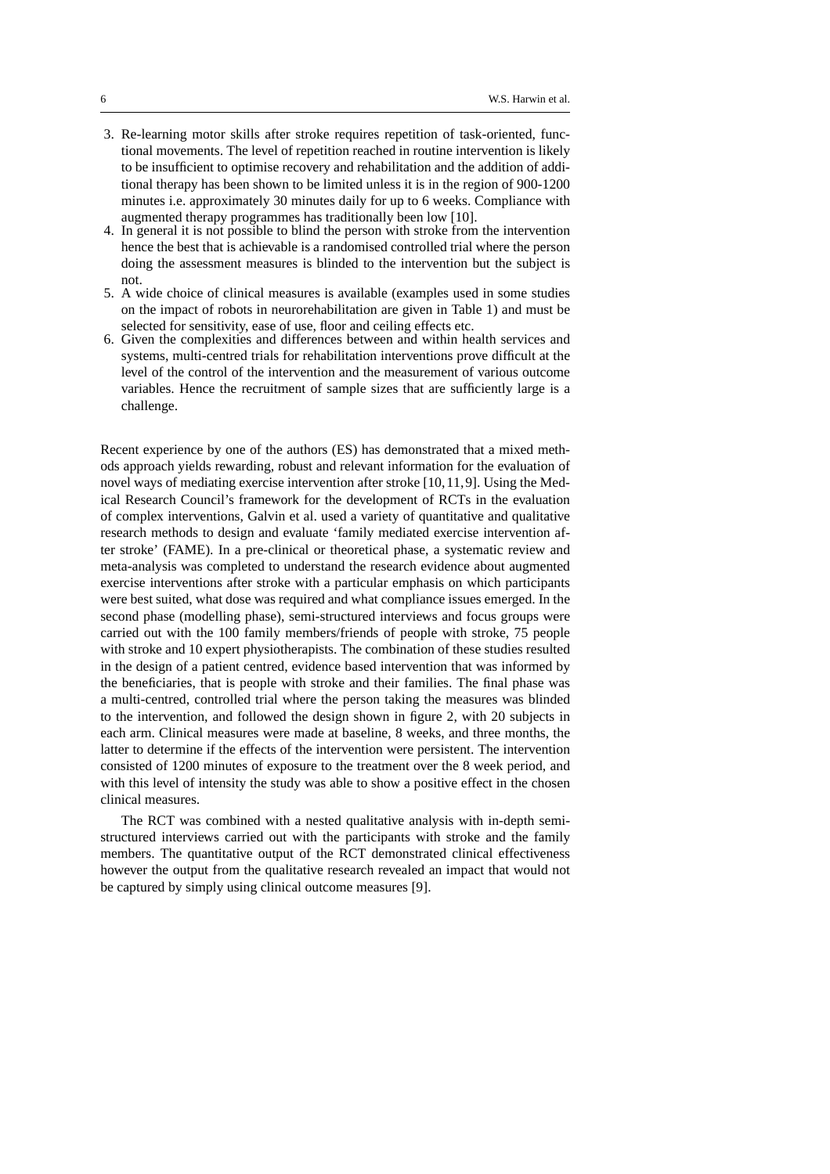- 3. Re-learning motor skills after stroke requires repetition of task-oriented, functional movements. The level of repetition reached in routine intervention is likely to be insufficient to optimise recovery and rehabilitation and the addition of additional therapy has been shown to be limited unless it is in the region of 900-1200 minutes i.e. approximately 30 minutes daily for up to 6 weeks. Compliance with augmented therapy programmes has traditionally been low [10].
- 4. In general it is not possible to blind the person with stroke from the intervention hence the best that is achievable is a randomised controlled trial where the person doing the assessment measures is blinded to the intervention but the subject is not.
- 5. A wide choice of clinical measures is available (examples used in some studies on the impact of robots in neurorehabilitation are given in Table 1) and must be selected for sensitivity, ease of use, floor and ceiling effects etc.
- 6. Given the complexities and differences between and within health services and systems, multi-centred trials for rehabilitation interventions prove difficult at the level of the control of the intervention and the measurement of various outcome variables. Hence the recruitment of sample sizes that are sufficiently large is a challenge.

Recent experience by one of the authors (ES) has demonstrated that a mixed methods approach yields rewarding, robust and relevant information for the evaluation of novel ways of mediating exercise intervention after stroke [10,11,9]. Using the Medical Research Council's framework for the development of RCTs in the evaluation of complex interventions, Galvin et al. used a variety of quantitative and qualitative research methods to design and evaluate 'family mediated exercise intervention after stroke' (FAME). In a pre-clinical or theoretical phase, a systematic review and meta-analysis was completed to understand the research evidence about augmented exercise interventions after stroke with a particular emphasis on which participants were best suited, what dose was required and what compliance issues emerged. In the second phase (modelling phase), semi-structured interviews and focus groups were carried out with the 100 family members/friends of people with stroke, 75 people with stroke and 10 expert physiotherapists. The combination of these studies resulted in the design of a patient centred, evidence based intervention that was informed by the beneficiaries, that is people with stroke and their families. The final phase was a multi-centred, controlled trial where the person taking the measures was blinded to the intervention, and followed the design shown in figure 2, with 20 subjects in each arm. Clinical measures were made at baseline, 8 weeks, and three months, the latter to determine if the effects of the intervention were persistent. The intervention consisted of 1200 minutes of exposure to the treatment over the 8 week period, and with this level of intensity the study was able to show a positive effect in the chosen clinical measures.

The RCT was combined with a nested qualitative analysis with in-depth semistructured interviews carried out with the participants with stroke and the family members. The quantitative output of the RCT demonstrated clinical effectiveness however the output from the qualitative research revealed an impact that would not be captured by simply using clinical outcome measures [9].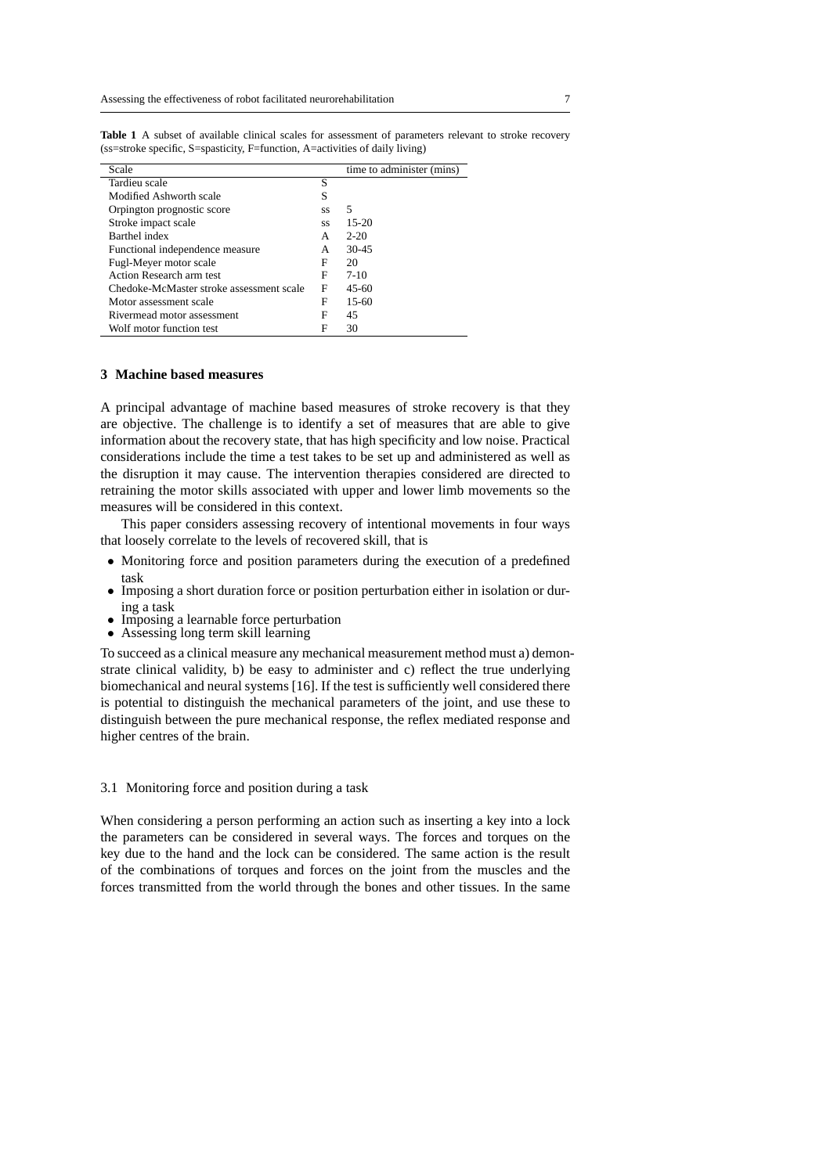| Scale                                    |    | time to administer (mins) |
|------------------------------------------|----|---------------------------|
| Tardieu scale                            | S  |                           |
| Modified Ashworth scale                  | S  |                           |
| Orpington prognostic score               | SS | 5                         |
| Stroke impact scale                      | SS | $15-20$                   |
| Barthel index                            | А  | $2 - 20$                  |
| Functional independence measure          | A  | $30 - 45$                 |
| Fugl-Meyer motor scale                   | F  | 20                        |
| Action Research arm test                 | F  | $7-10$                    |
| Chedoke-McMaster stroke assessment scale | F  | $45-60$                   |
| Motor assessment scale                   | F  | $15-60$                   |
| Rivermead motor assessment               | F  | 45                        |
| Wolf motor function test                 | F  | 30                        |
|                                          |    |                           |

**Table 1** A subset of available clinical scales for assessment of parameters relevant to stroke recovery (ss=stroke specific, S=spasticity, F=function, A=activities of daily living)

#### **3 Machine based measures**

A principal advantage of machine based measures of stroke recovery is that they are objective. The challenge is to identify a set of measures that are able to give information about the recovery state, that has high specificity and low noise. Practical considerations include the time a test takes to be set up and administered as well as the disruption it may cause. The intervention therapies considered are directed to retraining the motor skills associated with upper and lower limb movements so the measures will be considered in this context.

This paper considers assessing recovery of intentional movements in four ways that loosely correlate to the levels of recovered skill, that is

- Monitoring force and position parameters during the execution of a predefined task
- Imposing a short duration force or position perturbation either in isolation or during a task
- Imposing a learnable force perturbation
- Assessing long term skill learning

To succeed as a clinical measure any mechanical measurement method must a) demonstrate clinical validity, b) be easy to administer and c) reflect the true underlying biomechanical and neural systems [16]. If the test is sufficiently well considered there is potential to distinguish the mechanical parameters of the joint, and use these to distinguish between the pure mechanical response, the reflex mediated response and higher centres of the brain.

#### 3.1 Monitoring force and position during a task

When considering a person performing an action such as inserting a key into a lock the parameters can be considered in several ways. The forces and torques on the key due to the hand and the lock can be considered. The same action is the result of the combinations of torques and forces on the joint from the muscles and the forces transmitted from the world through the bones and other tissues. In the same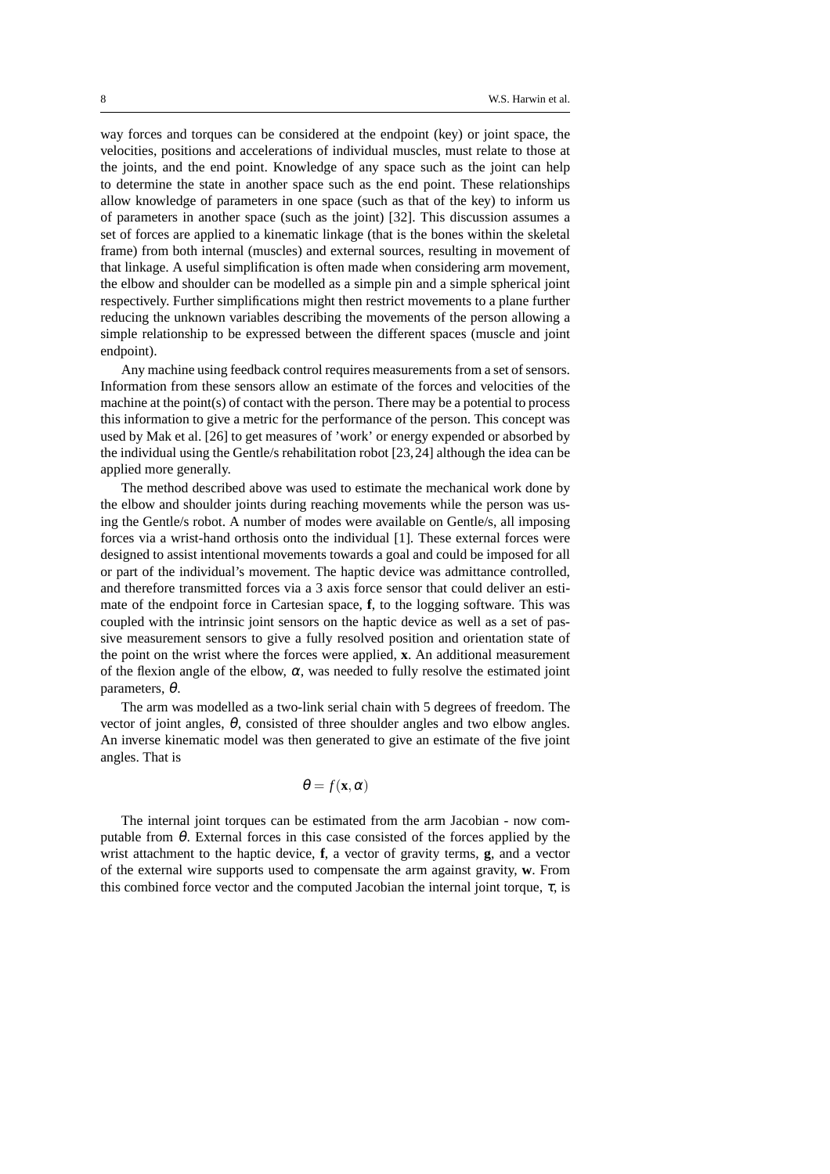way forces and torques can be considered at the endpoint (key) or joint space, the velocities, positions and accelerations of individual muscles, must relate to those at the joints, and the end point. Knowledge of any space such as the joint can help to determine the state in another space such as the end point. These relationships allow knowledge of parameters in one space (such as that of the key) to inform us of parameters in another space (such as the joint) [32]. This discussion assumes a set of forces are applied to a kinematic linkage (that is the bones within the skeletal frame) from both internal (muscles) and external sources, resulting in movement of that linkage. A useful simplification is often made when considering arm movement, the elbow and shoulder can be modelled as a simple pin and a simple spherical joint respectively. Further simplifications might then restrict movements to a plane further reducing the unknown variables describing the movements of the person allowing a simple relationship to be expressed between the different spaces (muscle and joint endpoint).

Any machine using feedback control requires measurements from a set of sensors. Information from these sensors allow an estimate of the forces and velocities of the machine at the point(s) of contact with the person. There may be a potential to process this information to give a metric for the performance of the person. This concept was used by Mak et al. [26] to get measures of 'work' or energy expended or absorbed by the individual using the Gentle/s rehabilitation robot [23,24] although the idea can be applied more generally.

The method described above was used to estimate the mechanical work done by the elbow and shoulder joints during reaching movements while the person was using the Gentle/s robot. A number of modes were available on Gentle/s, all imposing forces via a wrist-hand orthosis onto the individual [1]. These external forces were designed to assist intentional movements towards a goal and could be imposed for all or part of the individual's movement. The haptic device was admittance controlled, and therefore transmitted forces via a 3 axis force sensor that could deliver an estimate of the endpoint force in Cartesian space, **f**, to the logging software. This was coupled with the intrinsic joint sensors on the haptic device as well as a set of passive measurement sensors to give a fully resolved position and orientation state of the point on the wrist where the forces were applied, **x**. An additional measurement of the flexion angle of the elbow,  $\alpha$ , was needed to fully resolve the estimated joint parameters, θ.

The arm was modelled as a two-link serial chain with 5 degrees of freedom. The vector of joint angles, θ, consisted of three shoulder angles and two elbow angles. An inverse kinematic model was then generated to give an estimate of the five joint angles. That is

## $\theta = f(\mathbf{x}, \alpha)$

The internal joint torques can be estimated from the arm Jacobian - now computable from  $\theta$ . External forces in this case consisted of the forces applied by the wrist attachment to the haptic device, **f**, a vector of gravity terms, **g**, and a vector of the external wire supports used to compensate the arm against gravity, **w**. From this combined force vector and the computed Jacobian the internal joint torque,  $\tau$ , is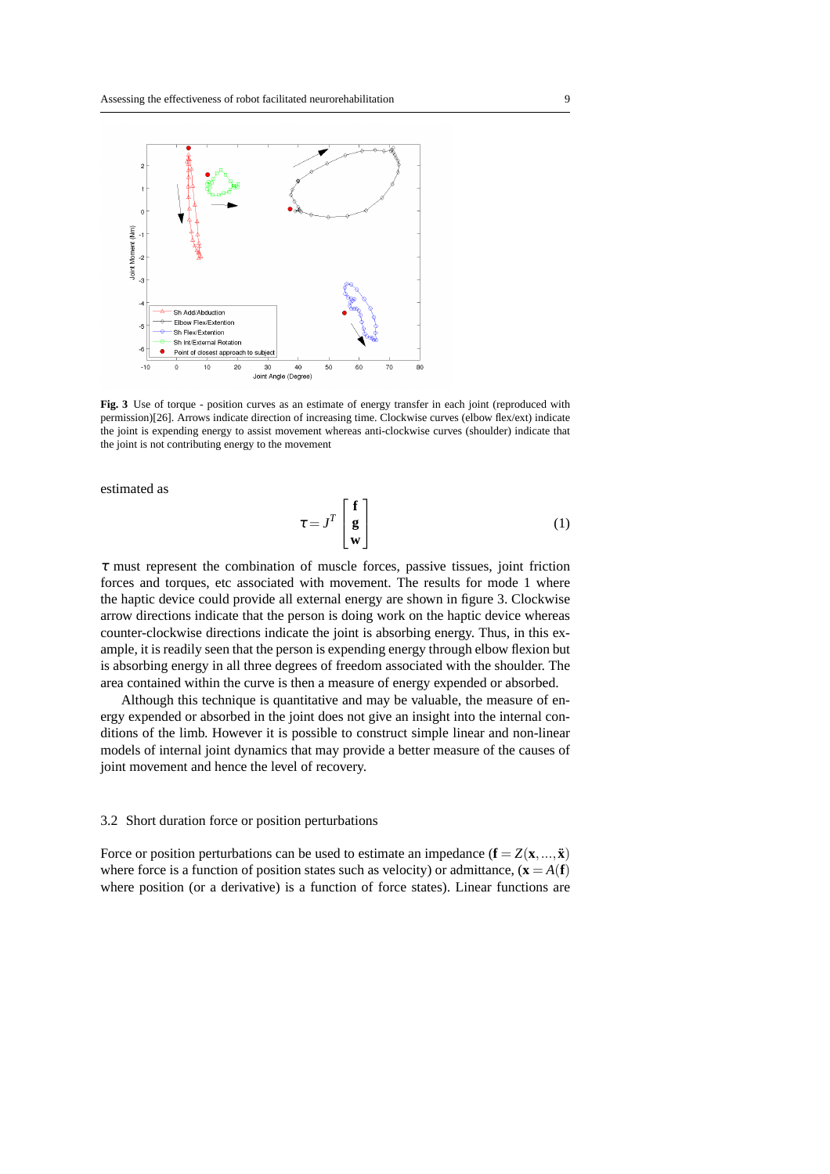

**Fig. 3** Use of torque - position curves as an estimate of energy transfer in each joint (reproduced with permission)[26]. Arrows indicate direction of increasing time. Clockwise curves (elbow flex/ext) indicate the joint is expending energy to assist movement whereas anti-clockwise curves (shoulder) indicate that the joint is not contributing energy to the movement

estimated as

$$
\tau = J^T \begin{bmatrix} \mathbf{f} \\ \mathbf{g} \\ \mathbf{w} \end{bmatrix}
$$
 (1)

 $\tau$  must represent the combination of muscle forces, passive tissues, joint friction forces and torques, etc associated with movement. The results for mode 1 where the haptic device could provide all external energy are shown in figure 3. Clockwise arrow directions indicate that the person is doing work on the haptic device whereas counter-clockwise directions indicate the joint is absorbing energy. Thus, in this example, it is readily seen that the person is expending energy through elbow flexion but is absorbing energy in all three degrees of freedom associated with the shoulder. The area contained within the curve is then a measure of energy expended or absorbed.

Although this technique is quantitative and may be valuable, the measure of energy expended or absorbed in the joint does not give an insight into the internal conditions of the limb. However it is possible to construct simple linear and non-linear models of internal joint dynamics that may provide a better measure of the causes of joint movement and hence the level of recovery.

#### 3.2 Short duration force or position perturbations

Force or position perturbations can be used to estimate an impedance  $(\mathbf{f} = Z(\mathbf{x},...,\mathbf{x}))$ where force is a function of position states such as velocity) or admittance,  $(\mathbf{x} = A(\mathbf{f}))$ where position (or a derivative) is a function of force states). Linear functions are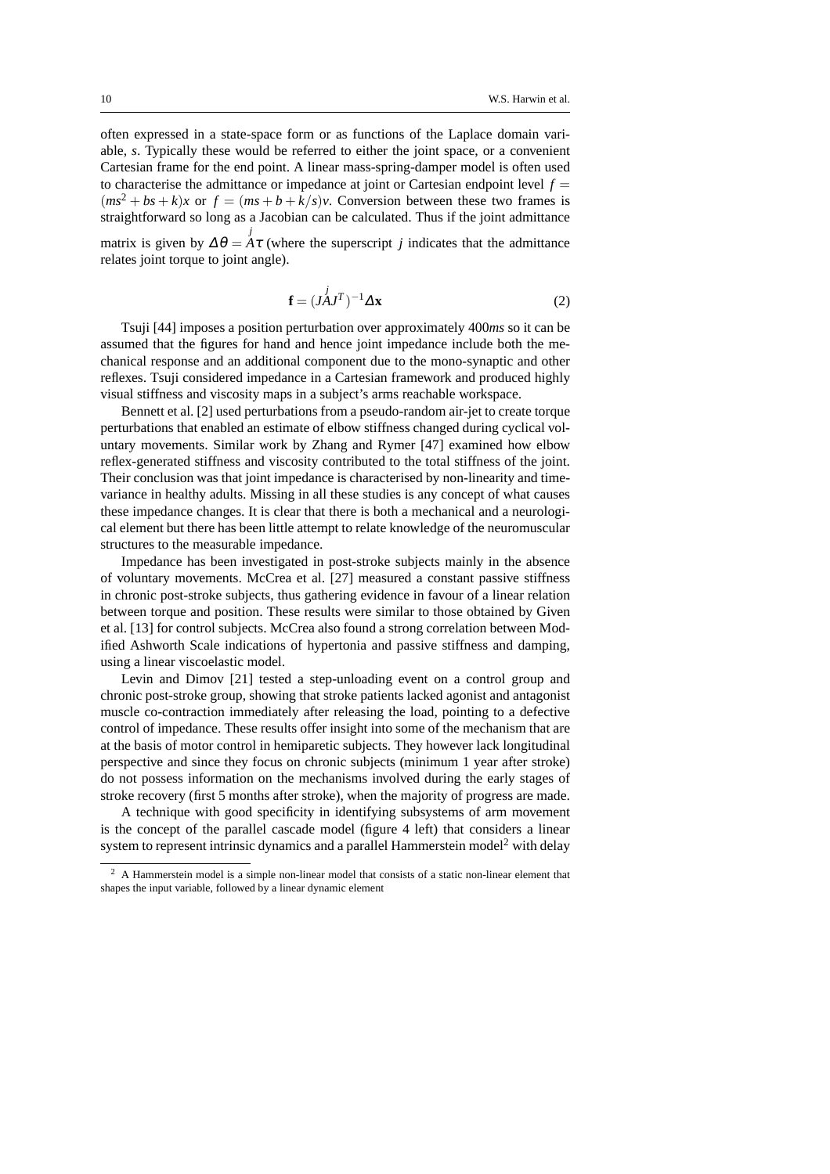often expressed in a state-space form or as functions of the Laplace domain variable, *s*. Typically these would be referred to either the joint space, or a convenient Cartesian frame for the end point. A linear mass-spring-damper model is often used to characterise the admittance or impedance at joint or Cartesian endpoint level  $f =$  $(ms^2 + bs + k)x$  or  $f = (ms + b + k/s)v$ . Conversion between these two frames is straightforward so long as a Jacobian can be calculated. Thus if the joint admittance matrix is given by  $\Delta \theta = A \tau$  (where the superscript *j* indicates that the admittance relates joint torque to joint angle).

$$
\mathbf{f} = (J \mathbf{A} J^T)^{-1} \Delta \mathbf{x} \tag{2}
$$

Tsuji [44] imposes a position perturbation over approximately 400*ms* so it can be assumed that the figures for hand and hence joint impedance include both the mechanical response and an additional component due to the mono-synaptic and other reflexes. Tsuji considered impedance in a Cartesian framework and produced highly visual stiffness and viscosity maps in a subject's arms reachable workspace.

Bennett et al. [2] used perturbations from a pseudo-random air-jet to create torque perturbations that enabled an estimate of elbow stiffness changed during cyclical voluntary movements. Similar work by Zhang and Rymer [47] examined how elbow reflex-generated stiffness and viscosity contributed to the total stiffness of the joint. Their conclusion was that joint impedance is characterised by non-linearity and timevariance in healthy adults. Missing in all these studies is any concept of what causes these impedance changes. It is clear that there is both a mechanical and a neurological element but there has been little attempt to relate knowledge of the neuromuscular structures to the measurable impedance.

Impedance has been investigated in post-stroke subjects mainly in the absence of voluntary movements. McCrea et al. [27] measured a constant passive stiffness in chronic post-stroke subjects, thus gathering evidence in favour of a linear relation between torque and position. These results were similar to those obtained by Given et al. [13] for control subjects. McCrea also found a strong correlation between Modified Ashworth Scale indications of hypertonia and passive stiffness and damping, using a linear viscoelastic model.

Levin and Dimov [21] tested a step-unloading event on a control group and chronic post-stroke group, showing that stroke patients lacked agonist and antagonist muscle co-contraction immediately after releasing the load, pointing to a defective control of impedance. These results offer insight into some of the mechanism that are at the basis of motor control in hemiparetic subjects. They however lack longitudinal perspective and since they focus on chronic subjects (minimum 1 year after stroke) do not possess information on the mechanisms involved during the early stages of stroke recovery (first 5 months after stroke), when the majority of progress are made.

A technique with good specificity in identifying subsystems of arm movement is the concept of the parallel cascade model (figure 4 left) that considers a linear system to represent intrinsic dynamics and a parallel Hammerstein model<sup>2</sup> with delay

<sup>&</sup>lt;sup>2</sup> A Hammerstein model is a simple non-linear model that consists of a static non-linear element that shapes the input variable, followed by a linear dynamic element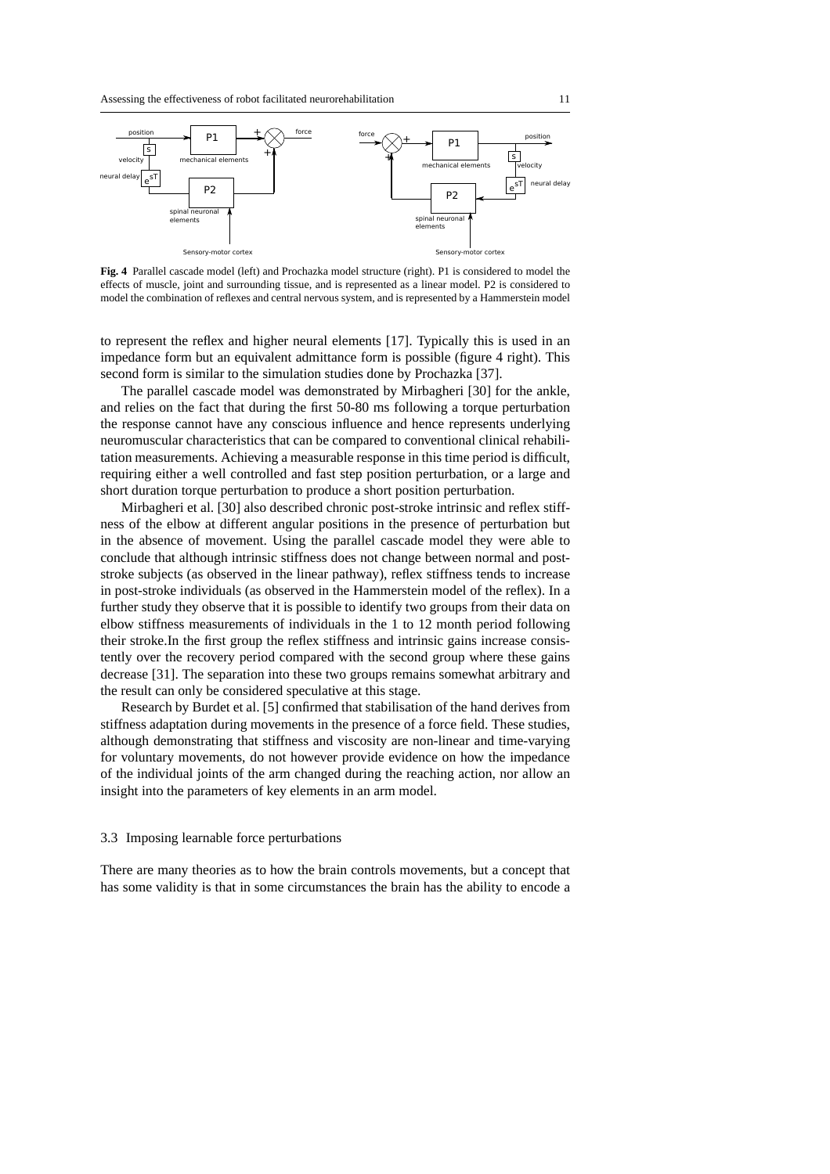

**Fig. 4** Parallel cascade model (left) and Prochazka model structure (right). P1 is considered to model the effects of muscle, joint and surrounding tissue, and is represented as a linear model. P2 is considered to model the combination of reflexes and central nervous system, and is represented by a Hammerstein model

to represent the reflex and higher neural elements [17]. Typically this is used in an impedance form but an equivalent admittance form is possible (figure 4 right). This second form is similar to the simulation studies done by Prochazka [37].

The parallel cascade model was demonstrated by Mirbagheri [30] for the ankle, and relies on the fact that during the first 50-80 ms following a torque perturbation the response cannot have any conscious influence and hence represents underlying neuromuscular characteristics that can be compared to conventional clinical rehabilitation measurements. Achieving a measurable response in this time period is difficult, requiring either a well controlled and fast step position perturbation, or a large and short duration torque perturbation to produce a short position perturbation.

Mirbagheri et al. [30] also described chronic post-stroke intrinsic and reflex stiffness of the elbow at different angular positions in the presence of perturbation but in the absence of movement. Using the parallel cascade model they were able to conclude that although intrinsic stiffness does not change between normal and poststroke subjects (as observed in the linear pathway), reflex stiffness tends to increase in post-stroke individuals (as observed in the Hammerstein model of the reflex). In a further study they observe that it is possible to identify two groups from their data on elbow stiffness measurements of individuals in the 1 to 12 month period following their stroke.In the first group the reflex stiffness and intrinsic gains increase consistently over the recovery period compared with the second group where these gains decrease [31]. The separation into these two groups remains somewhat arbitrary and the result can only be considered speculative at this stage.

Research by Burdet et al. [5] confirmed that stabilisation of the hand derives from stiffness adaptation during movements in the presence of a force field. These studies, although demonstrating that stiffness and viscosity are non-linear and time-varying for voluntary movements, do not however provide evidence on how the impedance of the individual joints of the arm changed during the reaching action, nor allow an insight into the parameters of key elements in an arm model.

#### 3.3 Imposing learnable force perturbations

There are many theories as to how the brain controls movements, but a concept that has some validity is that in some circumstances the brain has the ability to encode a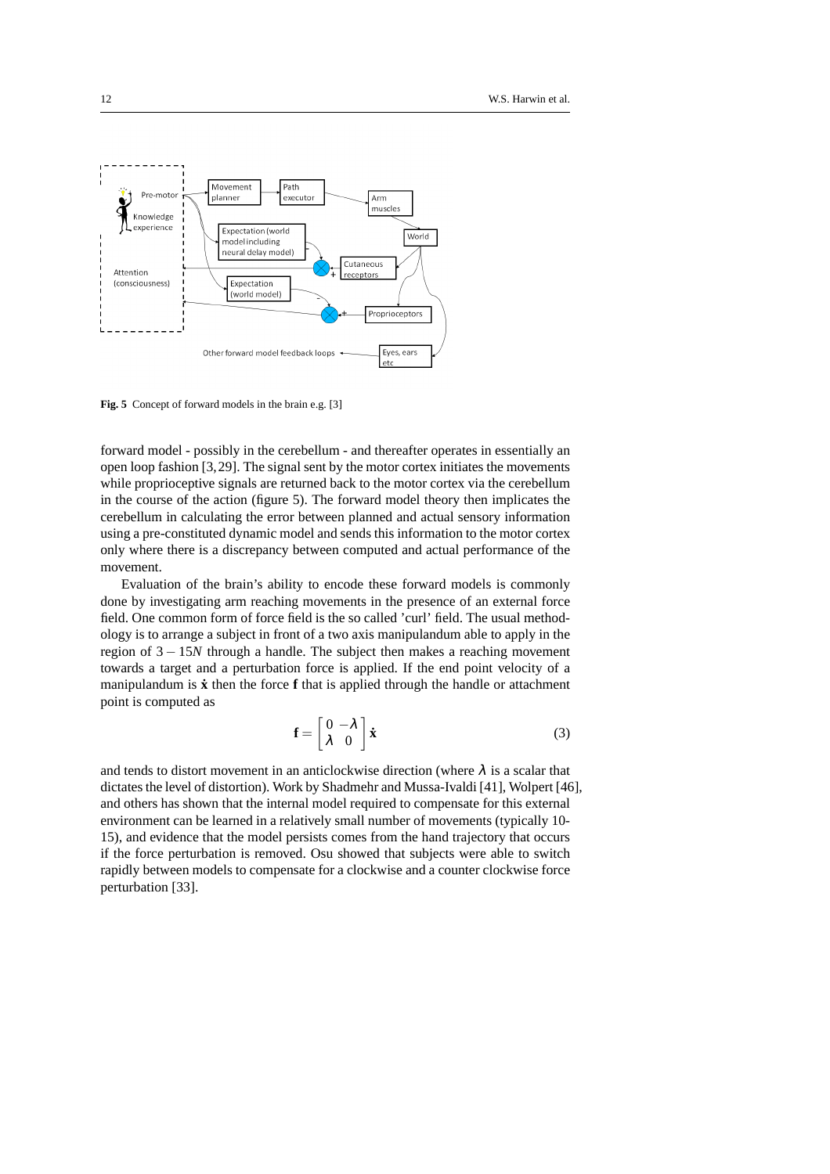

**Fig. 5** Concept of forward models in the brain e.g. [3]

forward model - possibly in the cerebellum - and thereafter operates in essentially an open loop fashion [3,29]. The signal sent by the motor cortex initiates the movements while proprioceptive signals are returned back to the motor cortex via the cerebellum in the course of the action (figure 5). The forward model theory then implicates the cerebellum in calculating the error between planned and actual sensory information using a pre-constituted dynamic model and sends this information to the motor cortex only where there is a discrepancy between computed and actual performance of the movement.

Evaluation of the brain's ability to encode these forward models is commonly done by investigating arm reaching movements in the presence of an external force field. One common form of force field is the so called 'curl' field. The usual methodology is to arrange a subject in front of a two axis manipulandum able to apply in the region of 3 − 15*N* through a handle. The subject then makes a reaching movement towards a target and a perturbation force is applied. If the end point velocity of a manipulandum is **x** then the force **f** that is applied through the handle or attachment point is computed as

$$
\mathbf{f} = \begin{bmatrix} 0 & -\lambda \\ \lambda & 0 \end{bmatrix} \dot{\mathbf{x}} \tag{3}
$$

and tends to distort movement in an anticlockwise direction (where  $\lambda$  is a scalar that dictates the level of distortion). Work by Shadmehr and Mussa-Ivaldi [41], Wolpert [46], and others has shown that the internal model required to compensate for this external environment can be learned in a relatively small number of movements (typically 10- 15), and evidence that the model persists comes from the hand trajectory that occurs if the force perturbation is removed. Osu showed that subjects were able to switch rapidly between models to compensate for a clockwise and a counter clockwise force perturbation [33].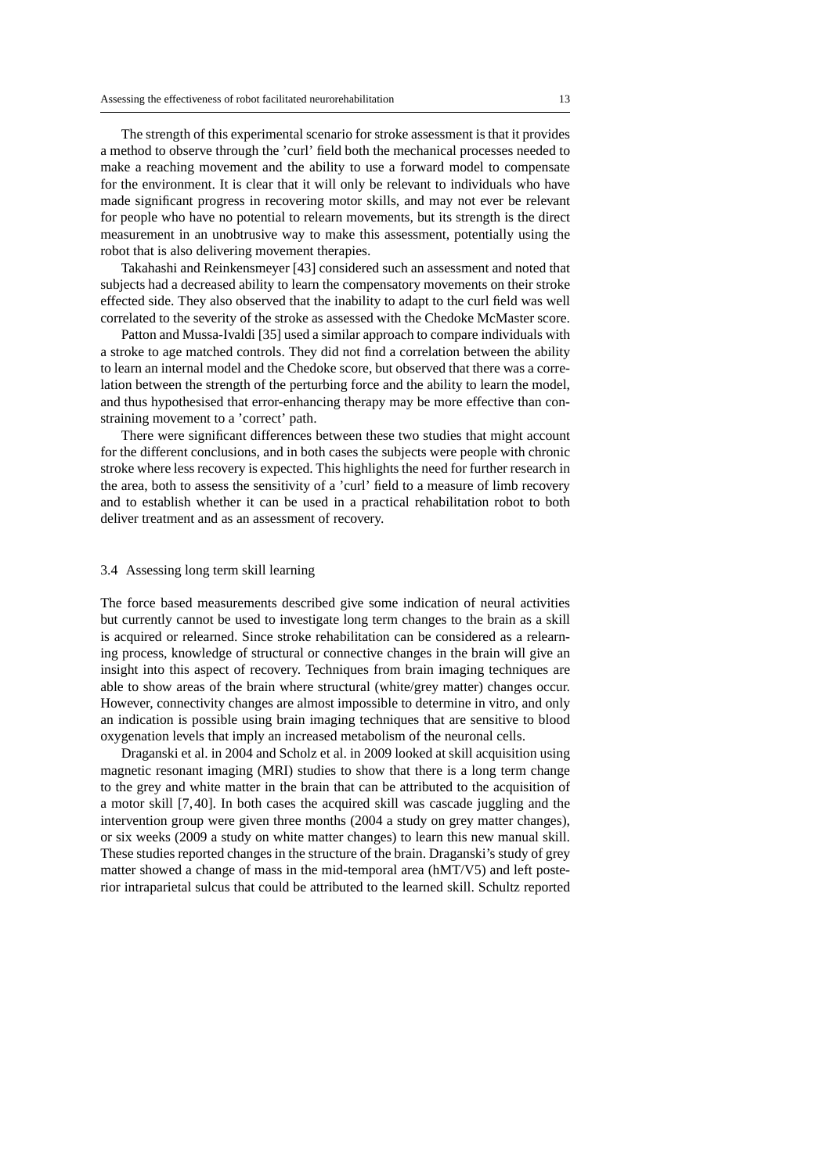The strength of this experimental scenario for stroke assessment is that it provides a method to observe through the 'curl' field both the mechanical processes needed to make a reaching movement and the ability to use a forward model to compensate for the environment. It is clear that it will only be relevant to individuals who have made significant progress in recovering motor skills, and may not ever be relevant for people who have no potential to relearn movements, but its strength is the direct measurement in an unobtrusive way to make this assessment, potentially using the robot that is also delivering movement therapies.

Takahashi and Reinkensmeyer [43] considered such an assessment and noted that subjects had a decreased ability to learn the compensatory movements on their stroke effected side. They also observed that the inability to adapt to the curl field was well correlated to the severity of the stroke as assessed with the Chedoke McMaster score.

Patton and Mussa-Ivaldi [35] used a similar approach to compare individuals with a stroke to age matched controls. They did not find a correlation between the ability to learn an internal model and the Chedoke score, but observed that there was a correlation between the strength of the perturbing force and the ability to learn the model, and thus hypothesised that error-enhancing therapy may be more effective than constraining movement to a 'correct' path.

There were significant differences between these two studies that might account for the different conclusions, and in both cases the subjects were people with chronic stroke where less recovery is expected. This highlights the need for further research in the area, both to assess the sensitivity of a 'curl' field to a measure of limb recovery and to establish whether it can be used in a practical rehabilitation robot to both deliver treatment and as an assessment of recovery.

#### 3.4 Assessing long term skill learning

The force based measurements described give some indication of neural activities but currently cannot be used to investigate long term changes to the brain as a skill is acquired or relearned. Since stroke rehabilitation can be considered as a relearning process, knowledge of structural or connective changes in the brain will give an insight into this aspect of recovery. Techniques from brain imaging techniques are able to show areas of the brain where structural (white/grey matter) changes occur. However, connectivity changes are almost impossible to determine in vitro, and only an indication is possible using brain imaging techniques that are sensitive to blood oxygenation levels that imply an increased metabolism of the neuronal cells.

Draganski et al. in 2004 and Scholz et al. in 2009 looked at skill acquisition using magnetic resonant imaging (MRI) studies to show that there is a long term change to the grey and white matter in the brain that can be attributed to the acquisition of a motor skill [7,40]. In both cases the acquired skill was cascade juggling and the intervention group were given three months (2004 a study on grey matter changes), or six weeks (2009 a study on white matter changes) to learn this new manual skill. These studies reported changes in the structure of the brain. Draganski's study of grey matter showed a change of mass in the mid-temporal area (hMT/V5) and left posterior intraparietal sulcus that could be attributed to the learned skill. Schultz reported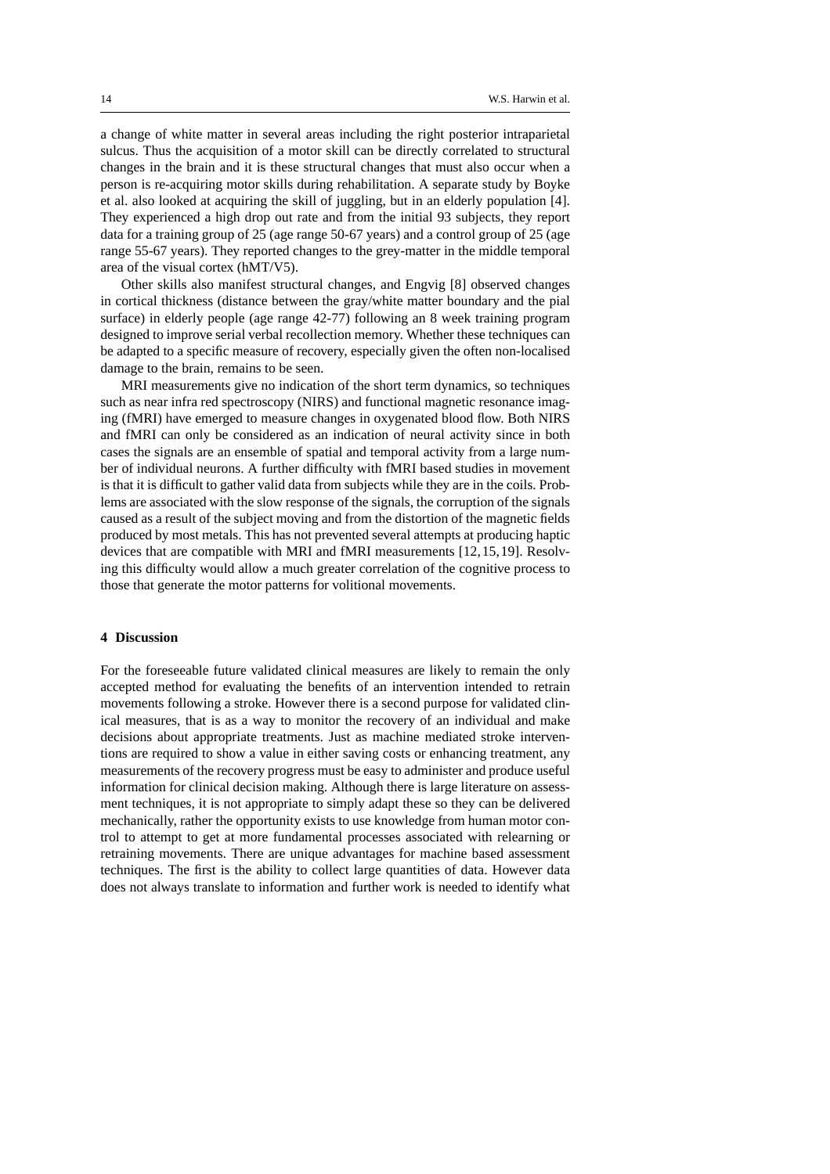a change of white matter in several areas including the right posterior intraparietal sulcus. Thus the acquisition of a motor skill can be directly correlated to structural changes in the brain and it is these structural changes that must also occur when a person is re-acquiring motor skills during rehabilitation. A separate study by Boyke et al. also looked at acquiring the skill of juggling, but in an elderly population [4]. They experienced a high drop out rate and from the initial 93 subjects, they report data for a training group of 25 (age range 50-67 years) and a control group of 25 (age range 55-67 years). They reported changes to the grey-matter in the middle temporal area of the visual cortex (hMT/V5).

Other skills also manifest structural changes, and Engvig [8] observed changes in cortical thickness (distance between the gray/white matter boundary and the pial surface) in elderly people (age range 42-77) following an 8 week training program designed to improve serial verbal recollection memory. Whether these techniques can be adapted to a specific measure of recovery, especially given the often non-localised damage to the brain, remains to be seen.

MRI measurements give no indication of the short term dynamics, so techniques such as near infra red spectroscopy (NIRS) and functional magnetic resonance imaging (fMRI) have emerged to measure changes in oxygenated blood flow. Both NIRS and fMRI can only be considered as an indication of neural activity since in both cases the signals are an ensemble of spatial and temporal activity from a large number of individual neurons. A further difficulty with fMRI based studies in movement is that it is difficult to gather valid data from subjects while they are in the coils. Problems are associated with the slow response of the signals, the corruption of the signals caused as a result of the subject moving and from the distortion of the magnetic fields produced by most metals. This has not prevented several attempts at producing haptic devices that are compatible with MRI and fMRI measurements [12,15,19]. Resolving this difficulty would allow a much greater correlation of the cognitive process to those that generate the motor patterns for volitional movements.

#### **4 Discussion**

For the foreseeable future validated clinical measures are likely to remain the only accepted method for evaluating the benefits of an intervention intended to retrain movements following a stroke. However there is a second purpose for validated clinical measures, that is as a way to monitor the recovery of an individual and make decisions about appropriate treatments. Just as machine mediated stroke interventions are required to show a value in either saving costs or enhancing treatment, any measurements of the recovery progress must be easy to administer and produce useful information for clinical decision making. Although there is large literature on assessment techniques, it is not appropriate to simply adapt these so they can be delivered mechanically, rather the opportunity exists to use knowledge from human motor control to attempt to get at more fundamental processes associated with relearning or retraining movements. There are unique advantages for machine based assessment techniques. The first is the ability to collect large quantities of data. However data does not always translate to information and further work is needed to identify what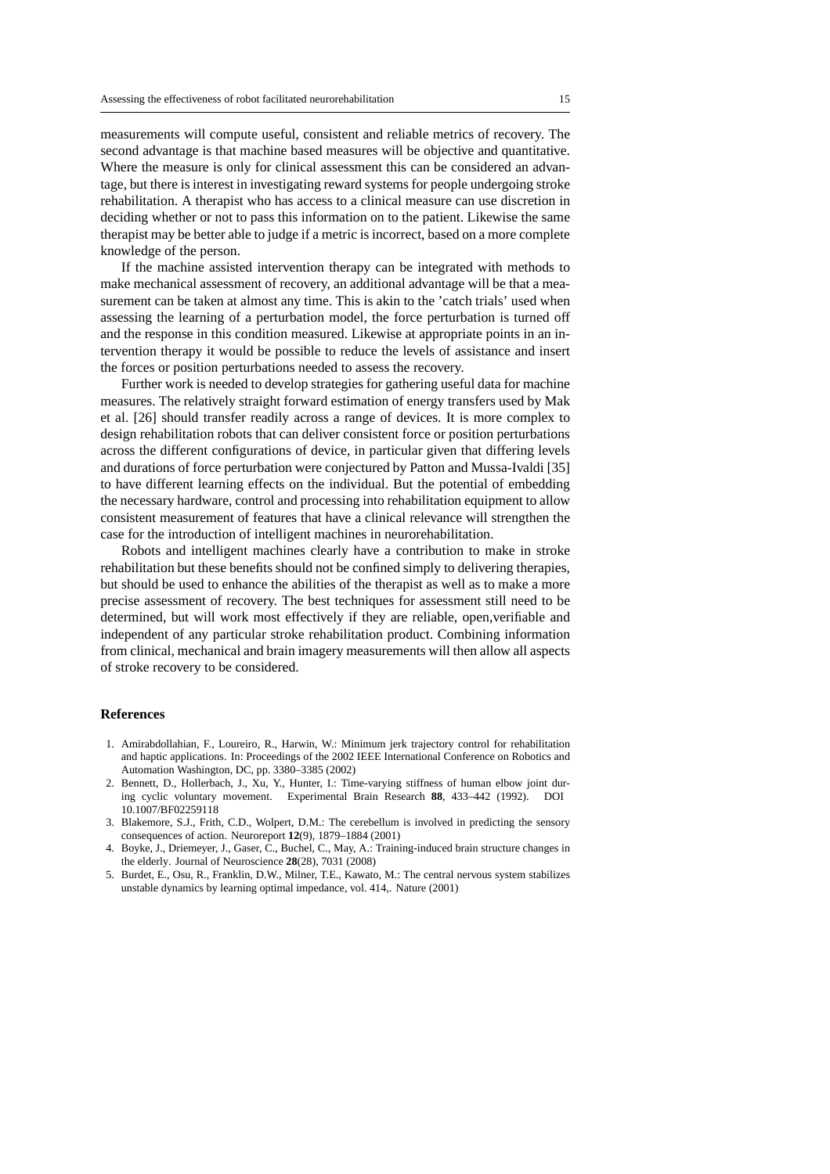measurements will compute useful, consistent and reliable metrics of recovery. The second advantage is that machine based measures will be objective and quantitative. Where the measure is only for clinical assessment this can be considered an advantage, but there is interest in investigating reward systems for people undergoing stroke rehabilitation. A therapist who has access to a clinical measure can use discretion in deciding whether or not to pass this information on to the patient. Likewise the same therapist may be better able to judge if a metric is incorrect, based on a more complete knowledge of the person.

If the machine assisted intervention therapy can be integrated with methods to make mechanical assessment of recovery, an additional advantage will be that a measurement can be taken at almost any time. This is akin to the 'catch trials' used when assessing the learning of a perturbation model, the force perturbation is turned off and the response in this condition measured. Likewise at appropriate points in an intervention therapy it would be possible to reduce the levels of assistance and insert the forces or position perturbations needed to assess the recovery.

Further work is needed to develop strategies for gathering useful data for machine measures. The relatively straight forward estimation of energy transfers used by Mak et al. [26] should transfer readily across a range of devices. It is more complex to design rehabilitation robots that can deliver consistent force or position perturbations across the different configurations of device, in particular given that differing levels and durations of force perturbation were conjectured by Patton and Mussa-Ivaldi [35] to have different learning effects on the individual. But the potential of embedding the necessary hardware, control and processing into rehabilitation equipment to allow consistent measurement of features that have a clinical relevance will strengthen the case for the introduction of intelligent machines in neurorehabilitation.

Robots and intelligent machines clearly have a contribution to make in stroke rehabilitation but these benefits should not be confined simply to delivering therapies, but should be used to enhance the abilities of the therapist as well as to make a more precise assessment of recovery. The best techniques for assessment still need to be determined, but will work most effectively if they are reliable, open,verifiable and independent of any particular stroke rehabilitation product. Combining information from clinical, mechanical and brain imagery measurements will then allow all aspects of stroke recovery to be considered.

#### **References**

- 1. Amirabdollahian, F., Loureiro, R., Harwin, W.: Minimum jerk trajectory control for rehabilitation and haptic applications. In: Proceedings of the 2002 IEEE International Conference on Robotics and Automation Washington, DC, pp. 3380–3385 (2002)
- 2. Bennett, D., Hollerbach, J., Xu, Y., Hunter, I.: Time-varying stiffness of human elbow joint during cyclic voluntary movement. Experimental Brain Research **88**, 433–442 (1992). DOI 10.1007/BF02259118
- 3. Blakemore, S.J., Frith, C.D., Wolpert, D.M.: The cerebellum is involved in predicting the sensory consequences of action. Neuroreport **12**(9), 1879–1884 (2001)
- 4. Boyke, J., Driemeyer, J., Gaser, C., Buchel, C., May, A.: Training-induced brain structure changes in the elderly. Journal of Neuroscience **28**(28), 7031 (2008)
- 5. Burdet, E., Osu, R., Franklin, D.W., Milner, T.E., Kawato, M.: The central nervous system stabilizes unstable dynamics by learning optimal impedance, vol. 414,. Nature (2001)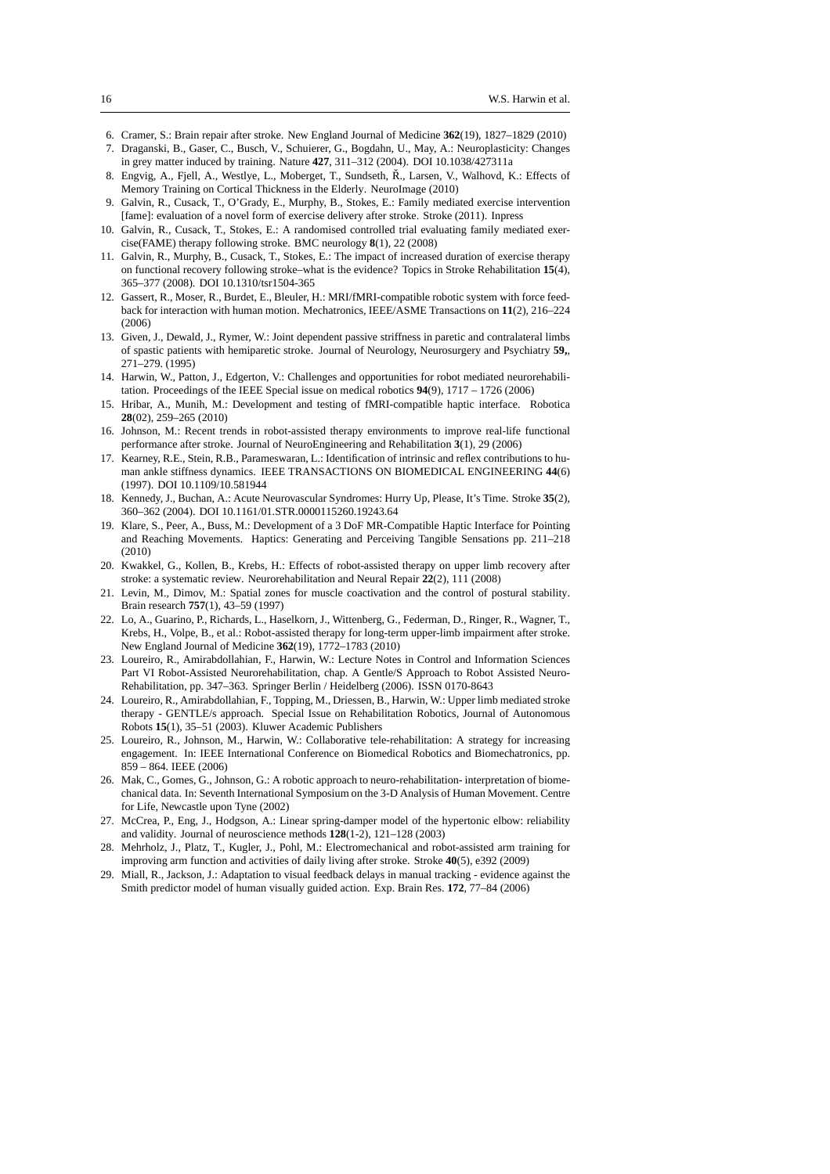- 6. Cramer, S.: Brain repair after stroke. New England Journal of Medicine **362**(19), 1827–1829 (2010)
- 7. Draganski, B., Gaser, C., Busch, V., Schuierer, G., Bogdahn, U., May, A.: Neuroplasticity: Changes in grey matter induced by training. Nature **427**, 311–312 (2004). DOI 10.1038/427311a
- 8. Engvig, A., Fjell, A., Westlye, L., Moberget, T., Sundseth, Ř., Larsen, V., Walhovd, K.: Effects of Memory Training on Cortical Thickness in the Elderly. NeuroImage (2010)
- 9. Galvin, R., Cusack, T., O'Grady, E., Murphy, B., Stokes, E.: Family mediated exercise intervention [fame]: evaluation of a novel form of exercise delivery after stroke. Stroke (2011). Inpress
- 10. Galvin, R., Cusack, T., Stokes, E.: A randomised controlled trial evaluating family mediated exercise(FAME) therapy following stroke. BMC neurology **8**(1), 22 (2008)
- 11. Galvin, R., Murphy, B., Cusack, T., Stokes, E.: The impact of increased duration of exercise therapy on functional recovery following stroke–what is the evidence? Topics in Stroke Rehabilitation **15**(4), 365–377 (2008). DOI 10.1310/tsr1504-365
- 12. Gassert, R., Moser, R., Burdet, E., Bleuler, H.: MRI/fMRI-compatible robotic system with force feedback for interaction with human motion. Mechatronics, IEEE/ASME Transactions on **11**(2), 216–224 (2006)
- 13. Given, J., Dewald, J., Rymer, W.: Joint dependent passive striffness in paretic and contralateral limbs of spastic patients with hemiparetic stroke. Journal of Neurology, Neurosurgery and Psychiatry **59,**, 271–279. (1995)
- 14. Harwin, W., Patton, J., Edgerton, V.: Challenges and opportunities for robot mediated neurorehabilitation. Proceedings of the IEEE Special issue on medical robotics **94**(9), 1717 – 1726 (2006)
- 15. Hribar, A., Munih, M.: Development and testing of fMRI-compatible haptic interface. Robotica **28**(02), 259–265 (2010)
- 16. Johnson, M.: Recent trends in robot-assisted therapy environments to improve real-life functional performance after stroke. Journal of NeuroEngineering and Rehabilitation **3**(1), 29 (2006)
- 17. Kearney, R.E., Stein, R.B., Parameswaran, L.: Identification of intrinsic and reflex contributions to human ankle stiffness dynamics. IEEE TRANSACTIONS ON BIOMEDICAL ENGINEERING **44**(6) (1997). DOI 10.1109/10.581944
- 18. Kennedy, J., Buchan, A.: Acute Neurovascular Syndromes: Hurry Up, Please, It's Time. Stroke **35**(2), 360–362 (2004). DOI 10.1161/01.STR.0000115260.19243.64
- 19. Klare, S., Peer, A., Buss, M.: Development of a 3 DoF MR-Compatible Haptic Interface for Pointing and Reaching Movements. Haptics: Generating and Perceiving Tangible Sensations pp. 211–218 (2010)
- 20. Kwakkel, G., Kollen, B., Krebs, H.: Effects of robot-assisted therapy on upper limb recovery after stroke: a systematic review. Neurorehabilitation and Neural Repair **22**(2), 111 (2008)
- 21. Levin, M., Dimov, M.: Spatial zones for muscle coactivation and the control of postural stability. Brain research **757**(1), 43–59 (1997)
- 22. Lo, A., Guarino, P., Richards, L., Haselkorn, J., Wittenberg, G., Federman, D., Ringer, R., Wagner, T., Krebs, H., Volpe, B., et al.: Robot-assisted therapy for long-term upper-limb impairment after stroke. New England Journal of Medicine **362**(19), 1772–1783 (2010)
- 23. Loureiro, R., Amirabdollahian, F., Harwin, W.: Lecture Notes in Control and Information Sciences Part VI Robot-Assisted Neurorehabilitation, chap. A Gentle/S Approach to Robot Assisted Neuro-Rehabilitation, pp. 347–363. Springer Berlin / Heidelberg (2006). ISSN 0170-8643
- 24. Loureiro, R., Amirabdollahian, F., Topping, M., Driessen, B., Harwin, W.: Upper limb mediated stroke therapy - GENTLE/s approach. Special Issue on Rehabilitation Robotics, Journal of Autonomous Robots **15**(1), 35–51 (2003). Kluwer Academic Publishers
- 25. Loureiro, R., Johnson, M., Harwin, W.: Collaborative tele-rehabilitation: A strategy for increasing engagement. In: IEEE International Conference on Biomedical Robotics and Biomechatronics, pp. 859 – 864. IEEE (2006)
- 26. Mak, C., Gomes, G., Johnson, G.: A robotic approach to neuro-rehabilitation- interpretation of biomechanical data. In: Seventh International Symposium on the 3-D Analysis of Human Movement. Centre for Life, Newcastle upon Tyne (2002)
- 27. McCrea, P., Eng, J., Hodgson, A.: Linear spring-damper model of the hypertonic elbow: reliability and validity. Journal of neuroscience methods **128**(1-2), 121–128 (2003)
- 28. Mehrholz, J., Platz, T., Kugler, J., Pohl, M.: Electromechanical and robot-assisted arm training for improving arm function and activities of daily living after stroke. Stroke **40**(5), e392 (2009)
- 29. Miall, R., Jackson, J.: Adaptation to visual feedback delays in manual tracking evidence against the Smith predictor model of human visually guided action. Exp. Brain Res. **172**, 77–84 (2006)